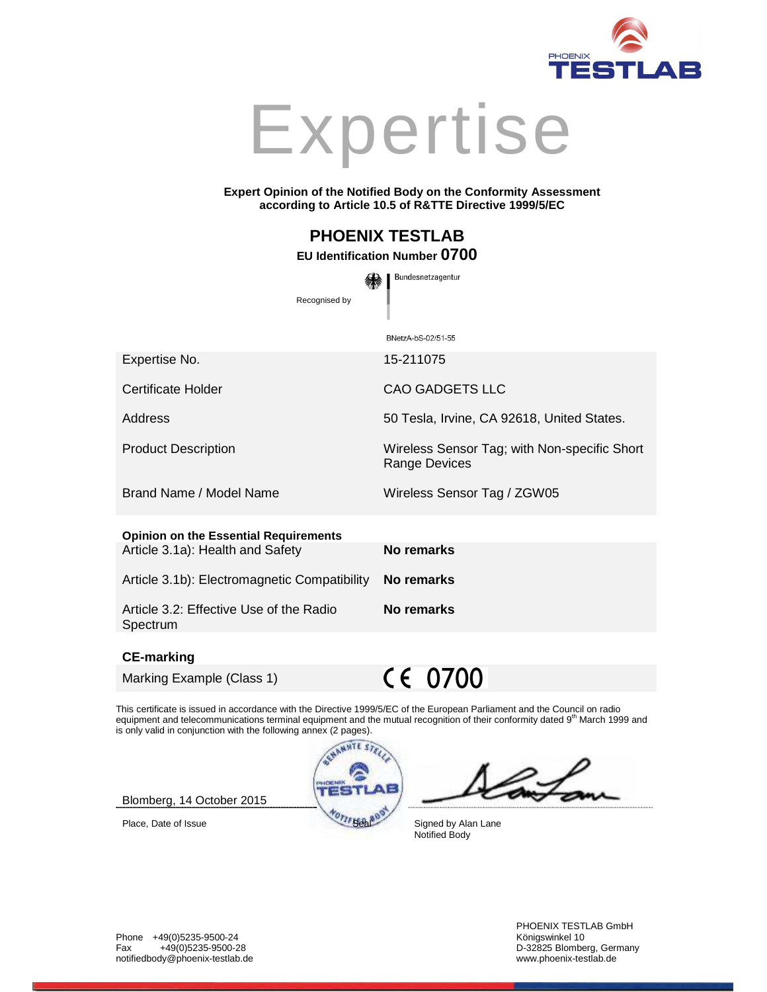



#### **Expert Opinion of the Notified Body on the Conformity Assessment according to Article 10.5 of R&TTE Directive 1999/5/EC**

# **PHOENIX TESTLAB**

## **EU Identification Number 0700**

Bundesnetzagentur

Recognised by BNetzA-bS-02/51-55 Expertise No. 15-211075 Certificate Holder CAO GADGETS LLC Address 50 Tesla, Irvine, CA 92618, United States. Product Description Wireless Sensor Tag; with Non-specific Short Range Devices Brand Name / Model Name Wireless Sensor Tag / ZGW05 **Opinion on the Essential Requirements** Article 3.1a): Health and Safety **No remarks** Article 3.1b): Electromagnetic Compatibility **No remarks**  Article 3.2: Effective Use of the Radio **No remarks** 

#### **CE-marking**

Spectrum

Marking Example (Class 1)

CE 0700

This certificate is issued in accordance with the Directive 1999/5/EC of the European Parliament and the Council on radio equipment and telecommunications terminal equipment and the mutual recognition of their conformity dated 9<sup>th</sup> March 1999 and is only valid in conjunction with the following annex (2 pages).



Blomberg, 14 October 2015

Notified Body

PHOENIX TESTLAB GmbH D-32825 Blomberg, Germany<br>www.phoenix-testlab.de

Phone +49(0)5235-9500-24 Königswinkel 10 notifiedbody@phoenix-testlab.de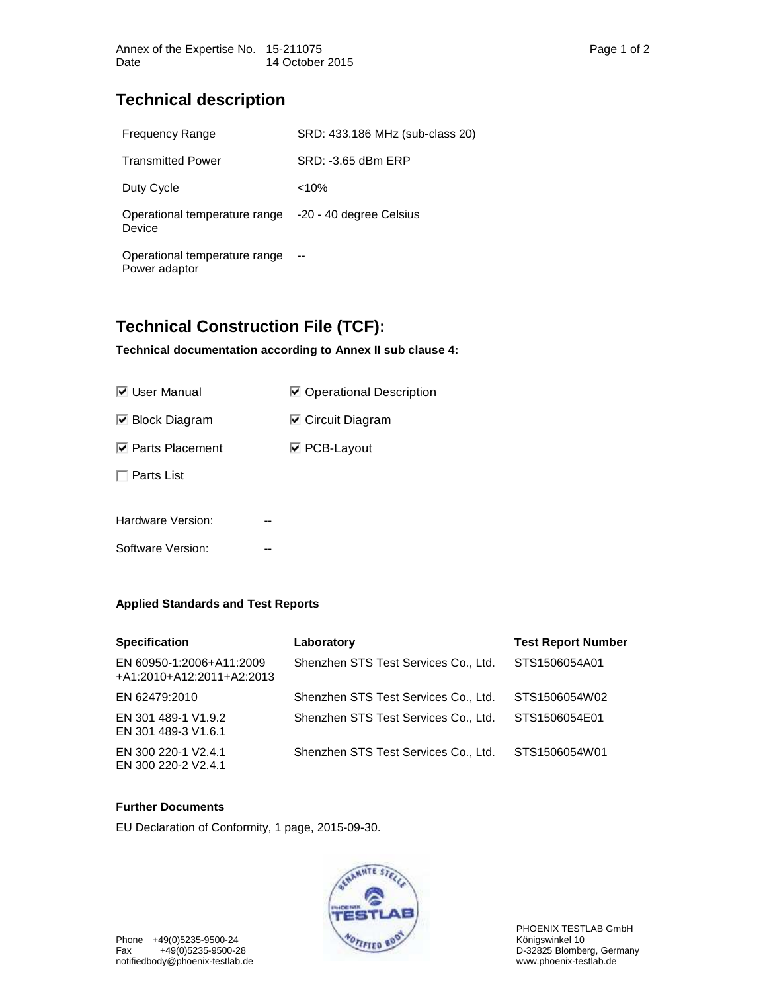## **Technical description**

| <b>Frequency Range</b>                         | SRD: 433.186 MHz (sub-class 20) |
|------------------------------------------------|---------------------------------|
| <b>Transmitted Power</b>                       | SRD: -3.65 dBm ERP              |
| Duty Cycle                                     | $< 10\%$                        |
| Operational temperature range<br>Device        | -20 - 40 degree Celsius         |
| Operational temperature range<br>Power adaptor |                                 |
|                                                |                                 |

## **Technical Construction File (TCF):**

## **Technical documentation according to Annex II sub clause 4:**

| <b>■ Operational Description</b> |
|----------------------------------|
| $\triangleright$ Circuit Diagram |
| <b>☑ PCB-Layout</b>              |
|                                  |
|                                  |
|                                  |

Software Version: --

## **Applied Standards and Test Reports**

| <b>Specification</b>                                  | Laboratory                           | <b>Test Report Number</b> |
|-------------------------------------------------------|--------------------------------------|---------------------------|
| EN 60950-1:2006+A11:2009<br>+A1:2010+A12:2011+A2:2013 | Shenzhen STS Test Services Co., Ltd. | STS1506054A01             |
| EN 62479:2010                                         | Shenzhen STS Test Services Co., Ltd. | STS1506054W02             |
| EN 301 489-1 V1.9.2<br>EN 301 489-3 V1.6.1            | Shenzhen STS Test Services Co., Ltd. | STS1506054E01             |
| EN 300 220-1 V2.4.1<br>EN 300 220-2 V2.4.1            | Shenzhen STS Test Services Co., Ltd. | STS1506054W01             |

## **Further Documents**

EU Declaration of Conformity, 1 page, 2015-09-30.